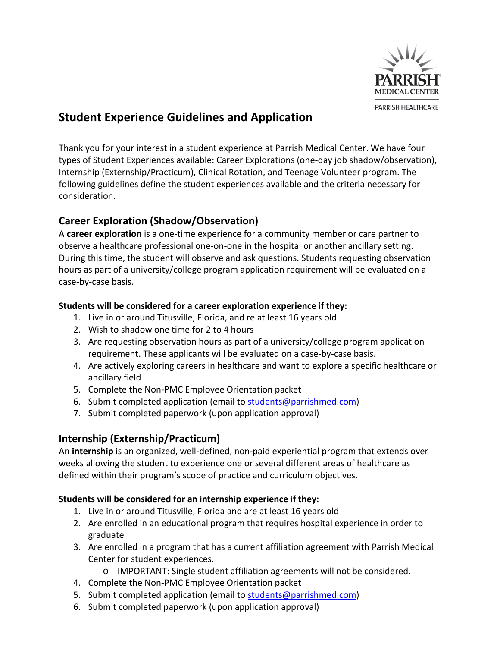

# **Student Experience Guidelines and Application**

Thank you for your interest in a student experience at Parrish Medical Center. We have four types of Student Experiences available: Career Explorations (one-day job shadow/observation), Internship (Externship/Practicum), Clinical Rotation, and Teenage Volunteer program. The following guidelines define the student experiences available and the criteria necessary for consideration.

## **Career Exploration (Shadow/Observation)**

A **career exploration** is a one-time experience for a community member or care partner to observe a healthcare professional one-on-one in the hospital or another ancillary setting. During this time, the student will observe and ask questions. Students requesting observation hours as part of a university/college program application requirement will be evaluated on a case-by-case basis.

#### **Students will be considered for a career exploration experience if they:**

- 1. Live in or around Titusville, Florida, and re at least 16 years old
- 2. Wish to shadow one time for 2 to 4 hours
- 3. Are requesting observation hours as part of a university/college program application requirement. These applicants will be evaluated on a case-by-case basis.
- 4. Are actively exploring careers in healthcare and want to explore a specific healthcare or ancillary field
- 5. Complete the Non-PMC Employee Orientation packet
- 6. Submit completed application (email to [students@parrishmed.com\)](mailto:students@parrishmed.com)
- 7. Submit completed paperwork (upon application approval)

## **Internship (Externship/Practicum)**

An **internship** is an organized, well-defined, non-paid experiential program that extends over weeks allowing the student to experience one or several different areas of healthcare as defined within their program's scope of practice and curriculum objectives.

### **Students will be considered for an internship experience if they:**

- 1. Live in or around Titusville, Florida and are at least 16 years old
- 2. Are enrolled in an educational program that requires hospital experience in order to graduate
- 3. Are enrolled in a program that has a current affiliation agreement with Parrish Medical Center for student experiences.
	- o IMPORTANT: Single student affiliation agreements will not be considered.
- 4. Complete the Non-PMC Employee Orientation packet
- 5. Submit completed application (email to [students@parrishmed.com\)](mailto:students@parrishmed.com)
- 6. Submit completed paperwork (upon application approval)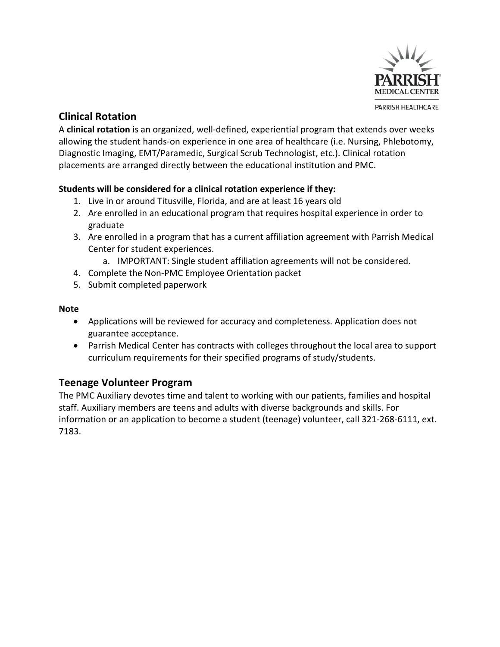

## **Clinical Rotation**

A **clinical rotation** is an organized, well-defined, experiential program that extends over weeks allowing the student hands-on experience in one area of healthcare (i.e. Nursing, Phlebotomy, Diagnostic Imaging, EMT/Paramedic, Surgical Scrub Technologist, etc.). Clinical rotation placements are arranged directly between the educational institution and PMC.

### **Students will be considered for a clinical rotation experience if they:**

- 1. Live in or around Titusville, Florida, and are at least 16 years old
- 2. Are enrolled in an educational program that requires hospital experience in order to graduate
- 3. Are enrolled in a program that has a current affiliation agreement with Parrish Medical Center for student experiences.
	- a. IMPORTANT: Single student affiliation agreements will not be considered.
- 4. Complete the Non-PMC Employee Orientation packet
- 5. Submit completed paperwork

#### **Note**

- Applications will be reviewed for accuracy and completeness. Application does not guarantee acceptance.
- Parrish Medical Center has contracts with colleges throughout the local area to support curriculum requirements for their specified programs of study/students.

## **Teenage Volunteer Program**

The PMC Auxiliary devotes time and talent to working with our patients, families and hospital staff. Auxiliary members are teens and adults with diverse backgrounds and skills. For information or an application to become a student (teenage) volunteer, call 321-268-6111, ext. 7183.